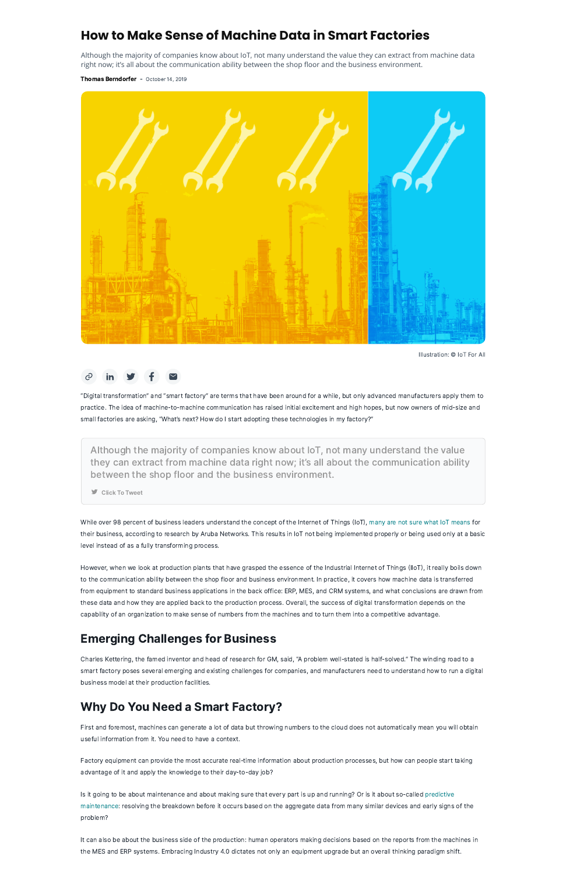# **How to Make Sense of Machine Data in Smart Factories**

Although the majority of companies know about IoT, not many understand the value they can extract from machine data right now; it's all about the communication ability between the shop floor and the business environment.

Thomas Berndorfer - October 14, 2019



"Digital transformation" and "smart factory" are terms that have been around for a while, but only advanced manufacturers apply them to practice. The idea of machine-to-machine communication has raised initial excitement and high hopes, but now owners of mid-size and small factories are asking, "What's next? How do I start adopting these technologies in my factory?"

While over 98 percent of business leaders understand the concept of the Internet of Things (IoT), many are not sure what IoT means for their business, according to research by Aruba Networks. This results in IoT not being implemented properly or being used only at a basic level instead of as a fully transforming process.

However, when we look at production plants that have grasped the essence of the Industrial Internet of Things (IIoT), it really boils down to the communication ability between the shop floor and business environment. In practice, it covers how machine data is transferred from equipment to standard business applications in the back office: ERP, MES, and CRM systems, and what conclusions are drawn from these data and how they are applied back to the production process. Overall, the success of digital transformation depends on the capability of an organization to make sense of numbers from the machines and to turn them into a competitive advantage.

#### Emerging Challenges for Business

Charles Kettering, the famed inventor and head of research for GM, said, "A problem well-stated is half-solved." The winding road to a smart factory poses several emerging and existing challenges for companies, and manufacturers need to understand how to run a digital business model at their production facilities.

#### Why Do You Need a Smart Factory?

First and foremost, machines can generate a lot of data but throwing numbers to the cloud does not automatically mean you will obtain useful information from it. You need to have a context.

Factory equipment can provide the most accurate real-time information about production processes, but how can people start taking advantage of it and apply the knowledge to their day-to-day job?

Is it going to be about maintenance and about making sure that every part is up and running? Or is it about so-called predictive maintenance: resolving the breakdown before it occurs based on the aggregate data from many similar devices and early signs of the problem?

It can also be about the business side of the production: human operators making decisions based on the reports from the machines in the MES and ERP systems. Embracing Industry 4.0 dictates not only an equipment upgrade but an overall thinking paradigm shift.

Although the majority of companies know about IoT, not many understand the value they can extract from machine data right now; it's all about the communication ability between the shop floor and the business environment.

■ Click To Tweet

Illustration: © IoT For All

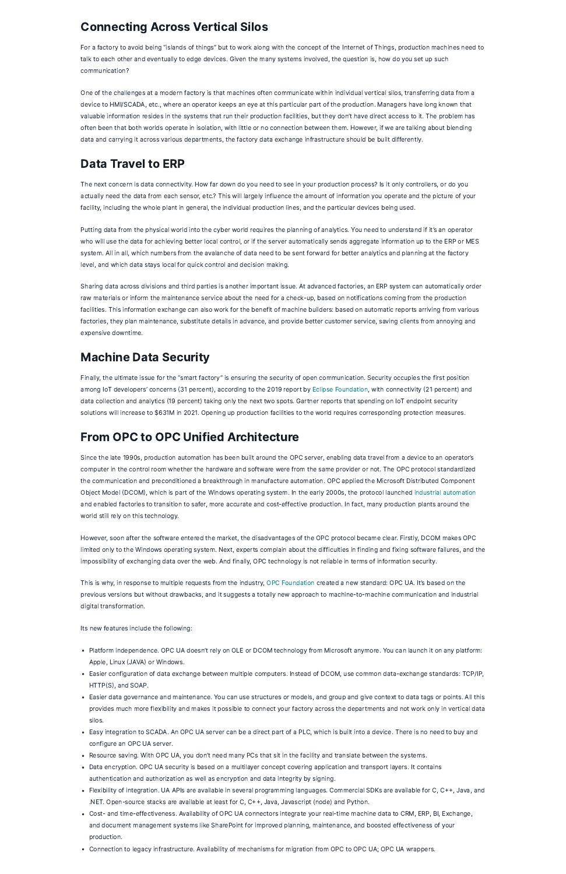# Connecting Across Vertical Silos

For a factory to avoid being "islands of things" but to work along with the concept of the Internet of Things, production machines need to talk to each other and eventually to edge devices. Given the many systems involved, the question is, how do you set up such communication?

One of the challenges at a modern factory is that machines often communicate within individual vertical silos, transferring data from a device to HMI/SCADA, etc., where an operator keeps an eye at this particular part of the production. Managers have long known that valuable information resides in the systems that run their production facilities, but they don't have direct access to it. The problem has often been that both worlds operate in isolation, with little or no connection between them. However, if we are talking about blending data and carrying it across various departments, the factory data exchange infrastructure should be built differently.

# Data Travel to ERP

The next concern is data connectivity. How far down do you need to see in your production process? Is it only controllers, or do you actually need the data from each sensor, etc.? This will largely influence the amount of information you operate and the picture of your facility, including the whole plant in general, the individual production lines, and the particular devices being used.

Putting data from the physical world into the cyber world requires the planning of analytics. You need to understand if it's an operator who will use the data for achieving better local control, or if the server automatically sends aggregate information up to the ERP or MES system. All in all, which numbers from the avalanche of data need to be sent forward for better analytics and planning at the factory level, and which data stays local for quick control and decision making.

Sharing data across divisions and third parties is another important issue. At advanced factories, an ERP system can automatically order raw materials or inform the maintenance service about the need for a check-up, based on notifications coming from the production facilities. This information exchange can also work for the benefit of machine builders: based on automatic reports arriving from various factories, they plan maintenance, substitute details in advance, and provide better customer service, saving clients from annoying and expensive downtime.

# Machine Data Security

Finally, the ultimate issue for the "smart factory" is ensuring the security of open communication. Security occupies the first position among IoT developers' concerns (31 percent), according to the 2019 report by Eclipse Foundation, with connectivity (21 percent) and data collection and analytics 19 percent) taking only the next two spots. Gartner reports that spending on IoT endpoint security solutions will increase to \$631M in 2021. Opening up production facilities to the world requires corresponding protection measures.

# From OPC to OPC Unified Architecture

Since the late 1990s, production automation has been built around the OPC server, enabling data travel from a device to an operator's computer in the control room whether the hardware and software were from the same provider or not. The OPC protocol standardized the communication and preconditioned a breakthrough in manufacture automation. OPC applied the Microsoft Distributed Component Object Model (DCOM), which is part of the Windows operating system. In the early 2000s, the protocol launched industrial automation and enabled factories to transition to safer, more accurate and cost-effective production. In fact, many production plants around the world still rely on this technology.

However, soon after the software entered the market, the disadvantages of the OPC protocol became clear. Firstly, DCOM makes OPC limited only to the Windows operating system. Next, experts complain about the difficulties in finding and fixing software failures, and the impossibility of exchanging data over the web. And finally, OPC technology is not reliable in terms of information security.

This is why, in response to multiple requests from the industry, OPC Foundation created a new standard: OPC UA. It's based on the previous versions but without drawbacks, and it suggests a totally new approach to machine-to-machine communication and industrial digital transformation.

- Platform independence. OPC UA doesn't rely on OLE or DCOM technology from Microsoft anymore. You can launch it on any platform: Apple, Linux (JAVA) or Windows.
- Easier configuration of data exchange between multiple computers. Instead of DCOM, use common data-exchange standards: TCP/IP, HTTP(S), and SOAP.
- Easier data governance and maintenance. You can use structures or models, and group and give context to data tags or points. All this provides much more flexibility and makes it possible to connect your factory across the departments and not work only in vertical data silos.
- Easy integration to SCADA. An OPC UA server can be a direct part of a PLC, which is built into a device. There is no need to buy and configure an OPC UA server.
- Resource saving. With OPC UA, you don't need many PCs that sit in the facility and translate between the systems.
- Data encryption. OPC UA security is based on a multilayer concept covering application and transport layers. It contains authentication and authorization as well as encryption and data integrity by signing.
- Flexibility of integration. UA APIs are available in several programming languages. Commercial SDKs are available for C, C++, Java, and .NET. Open-source stacks are available at least for C, C++, Java, Javascript (node) and Python.
- Cost- and time-effectiveness. Availability of OPC UA connectors integrate your real-time machine data to CRM, ERP, BI, Exchange, and document management systems like SharePoint for improved planning, maintenance, and boosted effectiveness of your production.
- Connection to legacy infrastructure. Availability of mechanisms for migration from OPC to OPC UA; OPC UA wrappers.